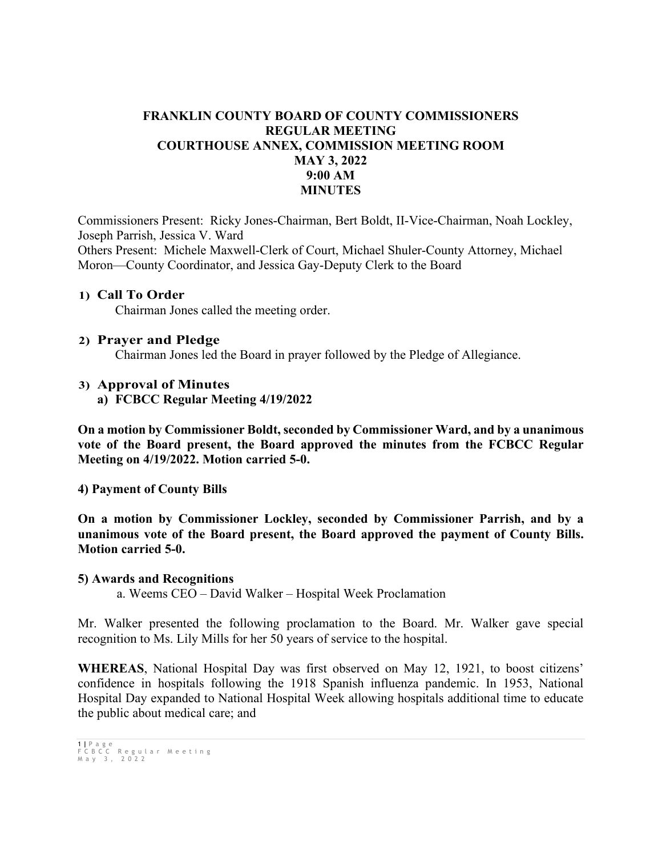## **FRANKLIN COUNTY BOARD OF COUNTY COMMISSIONERS REGULAR MEETING COURTHOUSE ANNEX, COMMISSION MEETING ROOM MAY 3, 2022 9:00 AM MINUTES**

Commissioners Present: Ricky Jones-Chairman, Bert Boldt, II-Vice-Chairman, Noah Lockley, Joseph Parrish, Jessica V. Ward Others Present: Michele Maxwell-Clerk of Court, Michael Shuler-County Attorney, Michael Moron—County Coordinator, and Jessica Gay-Deputy Clerk to the Board

#### **1) Call To Order**

Chairman Jones called the meeting order.

#### **2) Prayer and Pledge**

Chairman Jones led the Board in prayer followed by the Pledge of Allegiance.

#### **3) Approval of Minutes**

**a) FCBCC Regular Meeting 4/19/2022**

**On a motion by Commissioner Boldt, seconded by Commissioner Ward, and by a unanimous vote of the Board present, the Board approved the minutes from the FCBCC Regular Meeting on 4/19/2022. Motion carried 5-0.**

#### **4) Payment of County Bills**

**On a motion by Commissioner Lockley, seconded by Commissioner Parrish, and by a unanimous vote of the Board present, the Board approved the payment of County Bills. Motion carried 5-0.**

#### **5) Awards and Recognitions**

a. Weems CEO – David Walker – Hospital Week Proclamation

Mr. Walker presented the following proclamation to the Board. Mr. Walker gave special recognition to Ms. Lily Mills for her 50 years of service to the hospital.

**WHEREAS**, National Hospital Day was first observed on May 12, 1921, to boost citizens' confidence in hospitals following the 1918 Spanish influenza pandemic. In 1953, National Hospital Day expanded to National Hospital Week allowing hospitals additional time to educate the public about medical care; and

```
1 | Page
FCBCC Regular Meeting
May 3 , 2022
```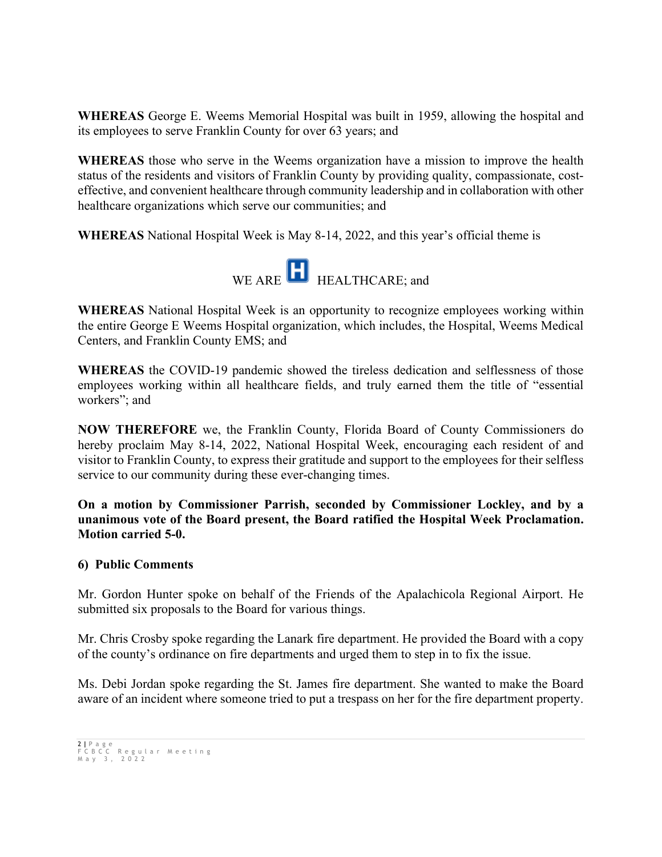**WHEREAS** George E. Weems Memorial Hospital was built in 1959, allowing the hospital and its employees to serve Franklin County for over 63 years; and

**WHEREAS** those who serve in the Weems organization have a mission to improve the health status of the residents and visitors of Franklin County by providing quality, compassionate, costeffective, and convenient healthcare through community leadership and in collaboration with other healthcare organizations which serve our communities; and

**WHEREAS** National Hospital Week is May 8-14, 2022, and this year's official theme is



**WHEREAS** National Hospital Week is an opportunity to recognize employees working within the entire George E Weems Hospital organization, which includes, the Hospital, Weems Medical Centers, and Franklin County EMS; and

**WHEREAS** the COVID-19 pandemic showed the tireless dedication and selflessness of those employees working within all healthcare fields, and truly earned them the title of "essential workers"; and

**NOW THEREFORE** we, the Franklin County, Florida Board of County Commissioners do hereby proclaim May 8-14, 2022, National Hospital Week, encouraging each resident of and visitor to Franklin County, to express their gratitude and support to the employees for their selfless service to our community during these ever-changing times.

**On a motion by Commissioner Parrish, seconded by Commissioner Lockley, and by a unanimous vote of the Board present, the Board ratified the Hospital Week Proclamation. Motion carried 5-0.** 

## **6) Public Comments**

Mr. Gordon Hunter spoke on behalf of the Friends of the Apalachicola Regional Airport. He submitted six proposals to the Board for various things.

Mr. Chris Crosby spoke regarding the Lanark fire department. He provided the Board with a copy of the county's ordinance on fire departments and urged them to step in to fix the issue.

Ms. Debi Jordan spoke regarding the St. James fire department. She wanted to make the Board aware of an incident where someone tried to put a trespass on her for the fire department property.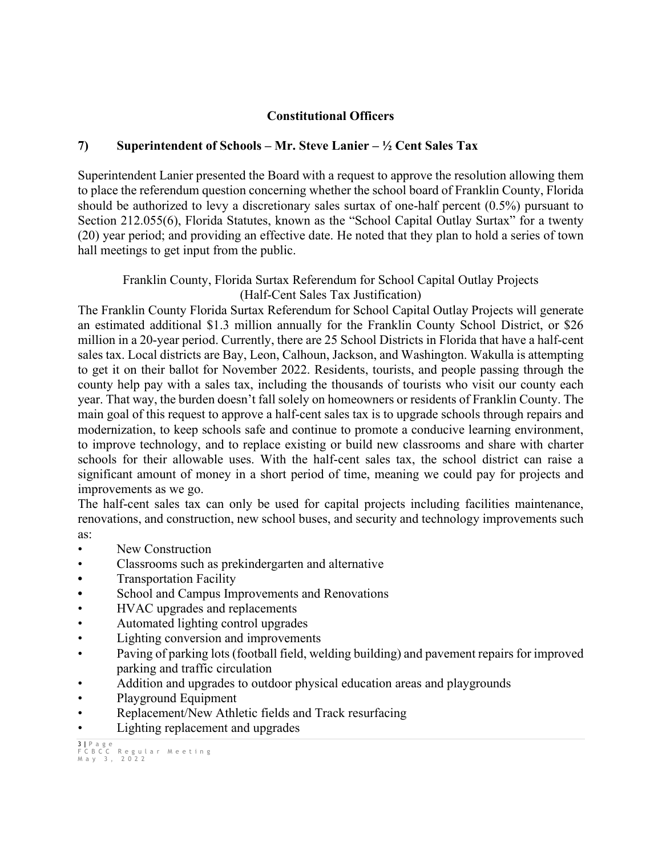## **Constitutional Officers**

## **7) Superintendent of Schools – Mr. Steve Lanier – ½ Cent Sales Tax**

Superintendent Lanier presented the Board with a request to approve the resolution allowing them to place the referendum question concerning whether the school board of Franklin County, Florida should be authorized to levy a discretionary sales surtax of one-half percent (0.5%) pursuant to Section 212.055(6), Florida Statutes, known as the "School Capital Outlay Surtax" for a twenty (20) year period; and providing an effective date. He noted that they plan to hold a series of town hall meetings to get input from the public.

Franklin County, Florida Surtax Referendum for School Capital Outlay Projects (Half-Cent Sales Tax Justification)

The Franklin County Florida Surtax Referendum for School Capital Outlay Projects will generate an estimated additional \$1.3 million annually for the Franklin County School District, or \$26 million in a 20-year period. Currently, there are 25 School Districts in Florida that have a half-cent sales tax. Local districts are Bay, Leon, Calhoun, Jackson, and Washington. Wakulla is attempting to get it on their ballot for November 2022. Residents, tourists, and people passing through the county help pay with a sales tax, including the thousands of tourists who visit our county each year. That way, the burden doesn't fall solely on homeowners or residents of Franklin County. The main goal of this request to approve a half-cent sales tax is to upgrade schools through repairs and modernization, to keep schools safe and continue to promote a conducive learning environment, to improve technology, and to replace existing or build new classrooms and share with charter schools for their allowable uses. With the half-cent sales tax, the school district can raise a significant amount of money in a short period of time, meaning we could pay for projects and improvements as we go.

The half-cent sales tax can only be used for capital projects including facilities maintenance, renovations, and construction, new school buses, and security and technology improvements such as:

- New Construction
- Classrooms such as prekindergarten and alternative
- Transportation Facility
- **•** School and Campus Improvements and Renovations
- HVAC upgrades and replacements
- Automated lighting control upgrades
- Lighting conversion and improvements
- Paving of parking lots (football field, welding building) and pavement repairs for improved parking and traffic circulation
- Addition and upgrades to outdoor physical education areas and playgrounds
- Playground Equipment
- Replacement/New Athletic fields and Track resurfacing
- Lighting replacement and upgrades

<sup>3</sup> **|** Page FCBCC Regular Meeting May 3 , 2022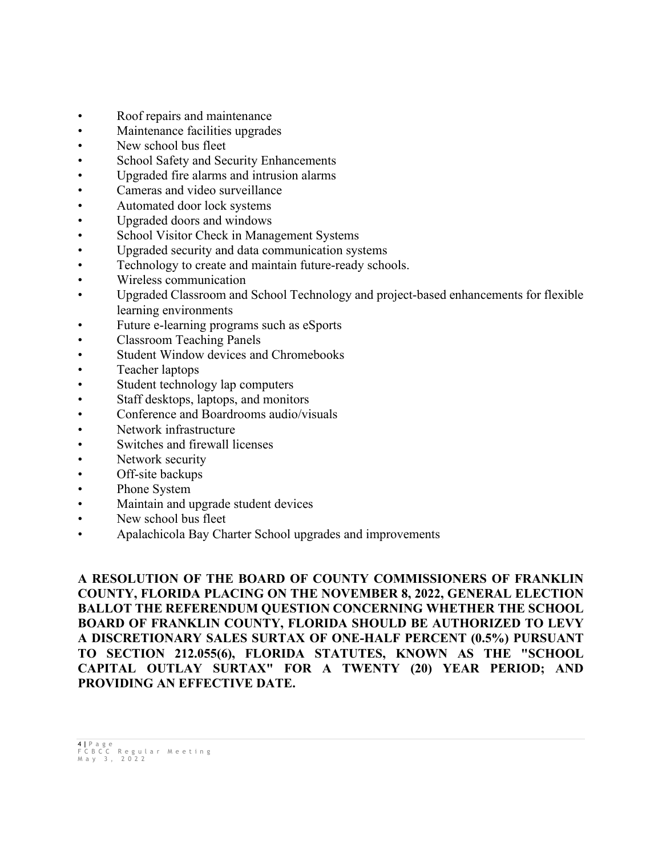- Roof repairs and maintenance
- Maintenance facilities upgrades
- New school bus fleet
- School Safety and Security Enhancements
- Upgraded fire alarms and intrusion alarms
- Cameras and video surveillance
- Automated door lock systems
- Upgraded doors and windows
- School Visitor Check in Management Systems
- Upgraded security and data communication systems
- Technology to create and maintain future-ready schools.
- Wireless communication
- Upgraded Classroom and School Technology and project-based enhancements for flexible learning environments
- Future e-learning programs such as eSports
- Classroom Teaching Panels
- Student Window devices and Chromebooks
- Teacher laptops
- Student technology lap computers
- Staff desktops, laptops, and monitors
- Conference and Boardrooms audio/visuals
- Network infrastructure
- Switches and firewall licenses
- Network security
- Off-site backups
- Phone System
- Maintain and upgrade student devices
- New school bus fleet
- Apalachicola Bay Charter School upgrades and improvements

**A RESOLUTION OF THE BOARD OF COUNTY COMMISSIONERS OF FRANKLIN COUNTY, FLORIDA PLACING ON THE NOVEMBER 8, 2022, GENERAL ELECTION BALLOT THE REFERENDUM QUESTION CONCERNING WHETHER THE SCHOOL BOARD OF FRANKLIN COUNTY, FLORIDA SHOULD BE AUTHORIZED TO LEVY A DISCRETIONARY SALES SURTAX OF ONE-HALF PERCENT (0.5%) PURSUANT TO SECTION 212.055(6), FLORIDA STATUTES, KNOWN AS THE "SCHOOL CAPITAL OUTLAY SURTAX" FOR A TWENTY (20) YEAR PERIOD; AND PROVIDING AN EFFECTIVE DATE.**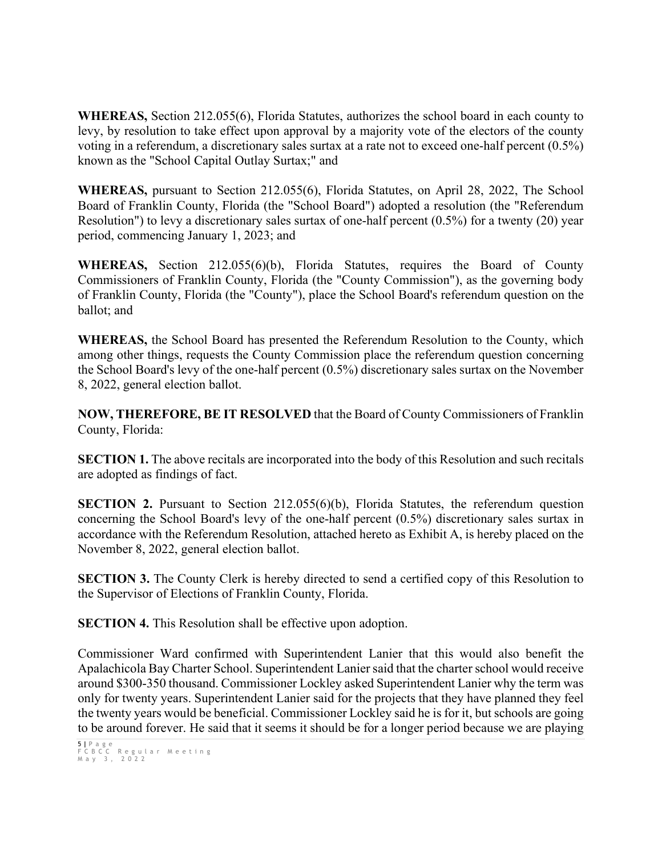**WHEREAS,** Section 212.055(6), Florida Statutes, authorizes the school board in each county to levy, by resolution to take effect upon approval by a majority vote of the electors of the county voting in a referendum, a discretionary sales surtax at a rate not to exceed one-half percent (0.5%) known as the "School Capital Outlay Surtax;" and

**WHEREAS,** pursuant to Section 212.055(6), Florida Statutes, on April 28, 2022, The School Board of Franklin County, Florida (the "School Board") adopted a resolution (the "Referendum Resolution") to levy a discretionary sales surtax of one-half percent (0.5%) for a twenty (20) year period, commencing January 1, 2023; and

**WHEREAS,** Section 212.055(6)(b), Florida Statutes, requires the Board of County Commissioners of Franklin County, Florida (the "County Commission"), as the governing body of Franklin County, Florida (the "County"), place the School Board's referendum question on the ballot; and

**WHEREAS,** the School Board has presented the Referendum Resolution to the County, which among other things, requests the County Commission place the referendum question concerning the School Board's levy of the one-half percent (0.5%) discretionary sales surtax on the November 8, 2022, general election ballot.

**NOW, THEREFORE, BE IT RESOLVED** that the Board of County Commissioners of Franklin County, Florida:

**SECTION 1.** The above recitals are incorporated into the body of this Resolution and such recitals are adopted as findings of fact.

**SECTION 2.** Pursuant to Section 212.055(6)(b), Florida Statutes, the referendum question concerning the School Board's levy of the one-half percent (0.5%) discretionary sales surtax in accordance with the Referendum Resolution, attached hereto as Exhibit A, is hereby placed on the November 8, 2022, general election ballot.

**SECTION 3.** The County Clerk is hereby directed to send a certified copy of this Resolution to the Supervisor of Elections of Franklin County, Florida.

**SECTION 4.** This Resolution shall be effective upon adoption.

Commissioner Ward confirmed with Superintendent Lanier that this would also benefit the Apalachicola Bay Charter School. Superintendent Lanier said that the charter school would receive around \$300-350 thousand. Commissioner Lockley asked Superintendent Lanier why the term was only for twenty years. Superintendent Lanier said for the projects that they have planned they feel the twenty years would be beneficial. Commissioner Lockley said he is for it, but schools are going to be around forever. He said that it seems it should be for a longer period because we are playing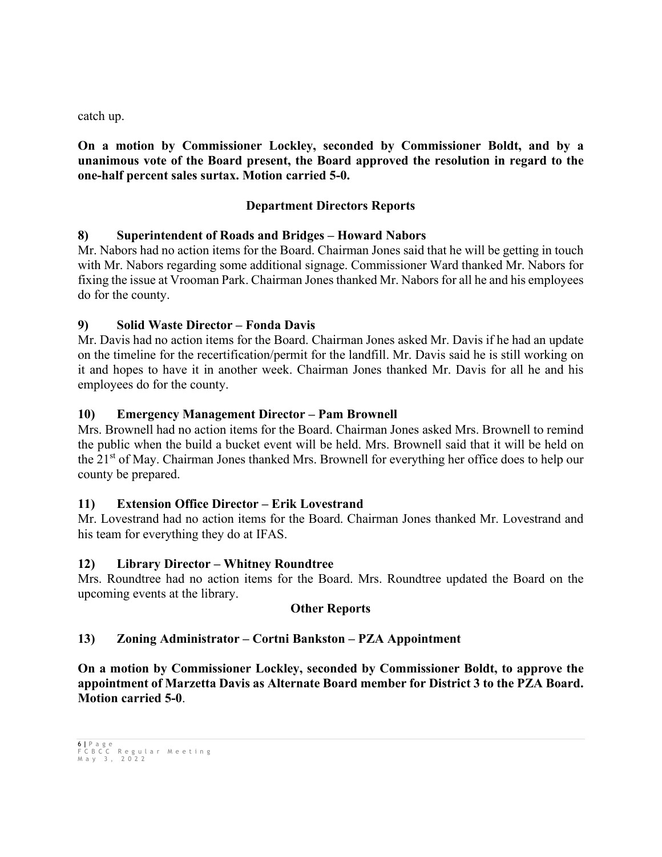catch up.

### **On a motion by Commissioner Lockley, seconded by Commissioner Boldt, and by a unanimous vote of the Board present, the Board approved the resolution in regard to the one-half percent sales surtax. Motion carried 5-0.**

### **Department Directors Reports**

### **8) Superintendent of Roads and Bridges – Howard Nabors**

Mr. Nabors had no action items for the Board. Chairman Jones said that he will be getting in touch with Mr. Nabors regarding some additional signage. Commissioner Ward thanked Mr. Nabors for fixing the issue at Vrooman Park. Chairman Jones thanked Mr. Nabors for all he and his employees do for the county.

### **9) Solid Waste Director – Fonda Davis**

Mr. Davis had no action items for the Board. Chairman Jones asked Mr. Davis if he had an update on the timeline for the recertification/permit for the landfill. Mr. Davis said he is still working on it and hopes to have it in another week. Chairman Jones thanked Mr. Davis for all he and his employees do for the county.

#### **10) Emergency Management Director – Pam Brownell**

Mrs. Brownell had no action items for the Board. Chairman Jones asked Mrs. Brownell to remind the public when the build a bucket event will be held. Mrs. Brownell said that it will be held on the 21st of May. Chairman Jones thanked Mrs. Brownell for everything her office does to help our county be prepared.

#### **11) Extension Office Director – Erik Lovestrand**

Mr. Lovestrand had no action items for the Board. Chairman Jones thanked Mr. Lovestrand and his team for everything they do at IFAS.

#### **12) Library Director – Whitney Roundtree**

Mrs. Roundtree had no action items for the Board. Mrs. Roundtree updated the Board on the upcoming events at the library.

#### **Other Reports**

#### **13) Zoning Administrator – Cortni Bankston – PZA Appointment**

**On a motion by Commissioner Lockley, seconded by Commissioner Boldt, to approve the appointment of Marzetta Davis as Alternate Board member for District 3 to the PZA Board. Motion carried 5-0**.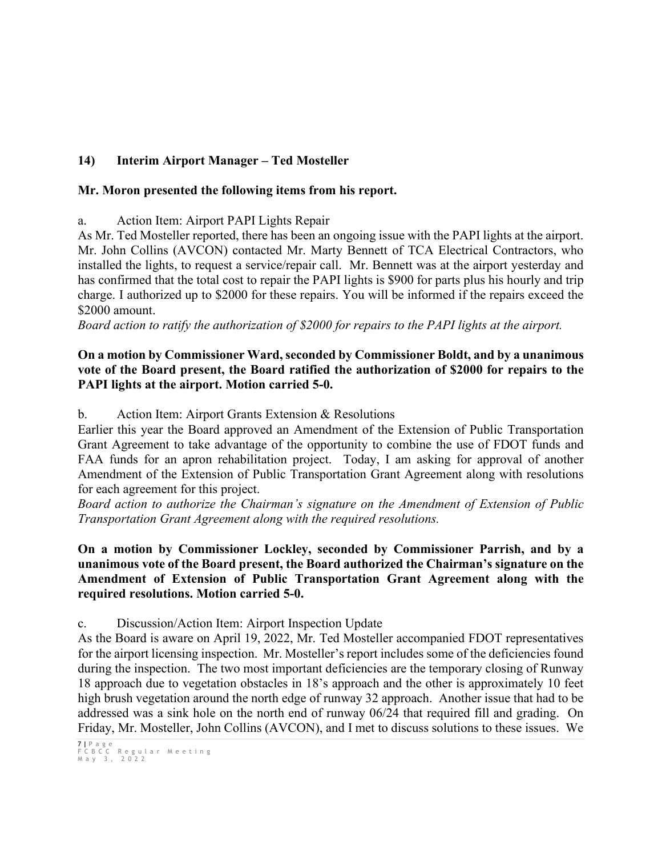## **14) Interim Airport Manager – Ted Mosteller**

## **Mr. Moron presented the following items from his report.**

a. Action Item: Airport PAPI Lights Repair

As Mr. Ted Mosteller reported, there has been an ongoing issue with the PAPI lights at the airport. Mr. John Collins (AVCON) contacted Mr. Marty Bennett of TCA Electrical Contractors, who installed the lights, to request a service/repair call. Mr. Bennett was at the airport yesterday and has confirmed that the total cost to repair the PAPI lights is \$900 for parts plus his hourly and trip charge. I authorized up to \$2000 for these repairs. You will be informed if the repairs exceed the \$2000 amount.

*Board action to ratify the authorization of \$2000 for repairs to the PAPI lights at the airport.*

## **On a motion by Commissioner Ward, seconded by Commissioner Boldt, and by a unanimous vote of the Board present, the Board ratified the authorization of \$2000 for repairs to the PAPI lights at the airport. Motion carried 5-0.**

b. Action Item: Airport Grants Extension & Resolutions

Earlier this year the Board approved an Amendment of the Extension of Public Transportation Grant Agreement to take advantage of the opportunity to combine the use of FDOT funds and FAA funds for an apron rehabilitation project. Today, I am asking for approval of another Amendment of the Extension of Public Transportation Grant Agreement along with resolutions for each agreement for this project.

*Board action to authorize the Chairman's signature on the Amendment of Extension of Public Transportation Grant Agreement along with the required resolutions.*

## **On a motion by Commissioner Lockley, seconded by Commissioner Parrish, and by a unanimous vote of the Board present, the Board authorized the Chairman's signature on the Amendment of Extension of Public Transportation Grant Agreement along with the required resolutions. Motion carried 5-0.**

c. Discussion/Action Item: Airport Inspection Update

As the Board is aware on April 19, 2022, Mr. Ted Mosteller accompanied FDOT representatives for the airport licensing inspection. Mr. Mosteller's report includes some of the deficiencies found during the inspection. The two most important deficiencies are the temporary closing of Runway 18 approach due to vegetation obstacles in 18's approach and the other is approximately 10 feet high brush vegetation around the north edge of runway 32 approach. Another issue that had to be addressed was a sink hole on the north end of runway 06/24 that required fill and grading. On Friday, Mr. Mosteller, John Collins (AVCON), and I met to discuss solutions to these issues. We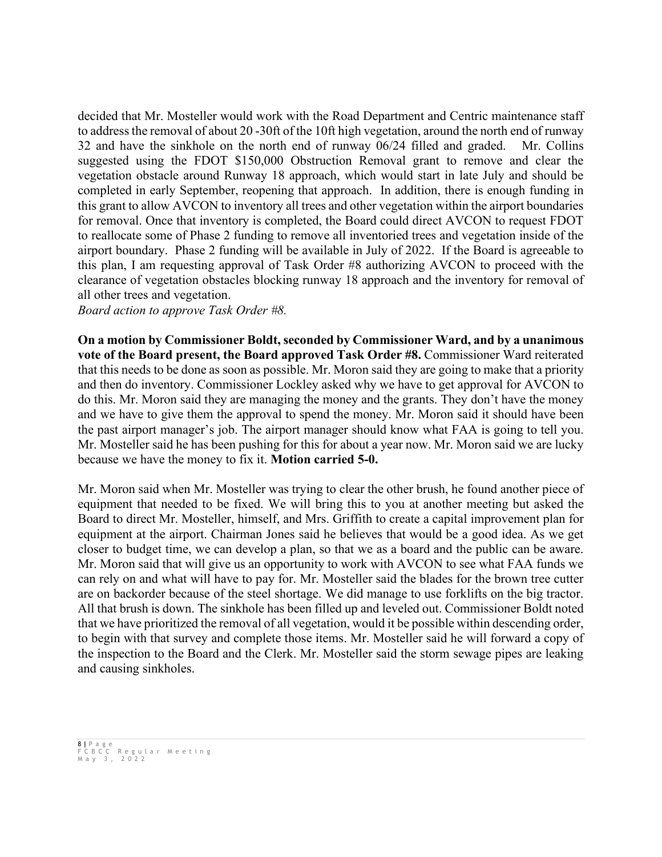decided that Mr. Mosteller would work with the Road Department and Centric maintenance staff to address the removal of about 20 -30ft of the 10ft high vegetation, around the north end of runway 32 and have the sinkhole on the north end of runway 06/24 filled and graded. Mr. Collins suggested using the FDOT \$150,000 Obstruction Removal grant to remove and clear the vegetation obstacle around Runway 18 approach, which would start in late July and should be completed in early September, reopening that approach. In addition, there is enough funding in this grant to allow AVCON to inventory all trees and other vegetation within the airport boundaries for removal. Once that inventory is completed, the Board could direct AVCON to request FDOT to reallocate some of Phase 2 funding to remove all inventoried trees and vegetation inside of the airport boundary. Phase 2 funding will be available in July of 2022. If the Board is agreeable to this plan, I am requesting approval of Task Order #8 authorizing AVCON to proceed with the clearance of vegetation obstacles blocking runway 18 approach and the inventory for removal of all other trees and vegetation.

*Board action to approve Task Order #8.* 

**On a motion by Commissioner Boldt, seconded by Commissioner Ward, and by a unanimous vote of the Board present, the Board approved Task Order #8.** Commissioner Ward reiterated that this needs to be done as soon as possible. Mr. Moron said they are going to make that a priority and then do inventory. Commissioner Lockley asked why we have to get approval for AVCON to do this. Mr. Moron said they are managing the money and the grants. They don't have the money and we have to give them the approval to spend the money. Mr. Moron said it should have been the past airport manager's job. The airport manager should know what FAA is going to tell you. Mr. Mosteller said he has been pushing for this for about a year now. Mr. Moron said we are lucky because we have the money to fix it. **Motion carried 5-0.**

Mr. Moron said when Mr. Mosteller was trying to clear the other brush, he found another piece of equipment that needed to be fixed. We will bring this to you at another meeting but asked the Board to direct Mr. Mosteller, himself, and Mrs. Griffith to create a capital improvement plan for equipment at the airport. Chairman Jones said he believes that would be a good idea. As we get closer to budget time, we can develop a plan, so that we as a board and the public can be aware. Mr. Moron said that will give us an opportunity to work with AVCON to see what FAA funds we can rely on and what will have to pay for. Mr. Mosteller said the blades for the brown tree cutter are on backorder because of the steel shortage. We did manage to use forklifts on the big tractor. All that brush is down. The sinkhole has been filled up and leveled out. Commissioner Boldt noted that we have prioritized the removal of all vegetation, would it be possible within descending order, to begin with that survey and complete those items. Mr. Mosteller said he will forward a copy of the inspection to the Board and the Clerk. Mr. Mosteller said the storm sewage pipes are leaking and causing sinkholes.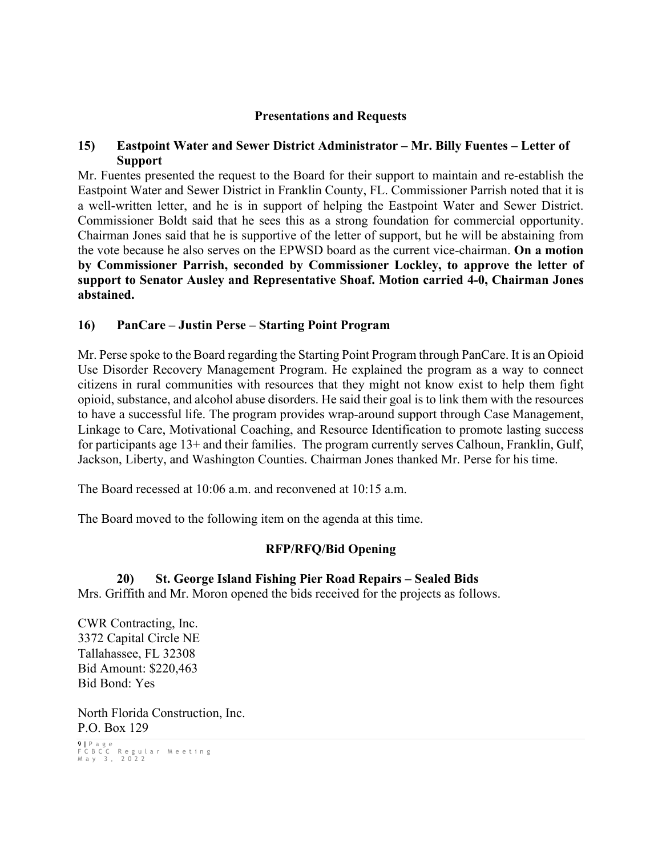### **Presentations and Requests**

### **15) Eastpoint Water and Sewer District Administrator – Mr. Billy Fuentes – Letter of Support**

Mr. Fuentes presented the request to the Board for their support to maintain and re-establish the Eastpoint Water and Sewer District in Franklin County, FL. Commissioner Parrish noted that it is a well-written letter, and he is in support of helping the Eastpoint Water and Sewer District. Commissioner Boldt said that he sees this as a strong foundation for commercial opportunity. Chairman Jones said that he is supportive of the letter of support, but he will be abstaining from the vote because he also serves on the EPWSD board as the current vice-chairman. **On a motion by Commissioner Parrish, seconded by Commissioner Lockley, to approve the letter of support to Senator Ausley and Representative Shoaf. Motion carried 4-0, Chairman Jones abstained.** 

### **16) PanCare – Justin Perse – Starting Point Program**

Mr. Perse spoke to the Board regarding the Starting Point Program through PanCare. It is an Opioid Use Disorder Recovery Management Program. He explained the program as a way to connect citizens in rural communities with resources that they might not know exist to help them fight opioid, substance, and alcohol abuse disorders. He said their goal is to link them with the resources to have a successful life. The program provides wrap-around support through Case Management, Linkage to Care, Motivational Coaching, and Resource Identification to promote lasting success for participants age 13+ and their families. The program currently serves Calhoun, Franklin, Gulf, Jackson, Liberty, and Washington Counties. Chairman Jones thanked Mr. Perse for his time.

The Board recessed at 10:06 a.m. and reconvened at 10:15 a.m.

The Board moved to the following item on the agenda at this time.

## **RFP/RFQ/Bid Opening**

## **20) St. George Island Fishing Pier Road Repairs – Sealed Bids**

Mrs. Griffith and Mr. Moron opened the bids received for the projects as follows.

CWR Contracting, Inc. 3372 Capital Circle NE Tallahassee, FL 32308 Bid Amount: \$220,463 Bid Bond: Yes

North Florida Construction, Inc. P.O. Box 129

9 **|** Page FCBCC Regular Meeting May 3 , 2022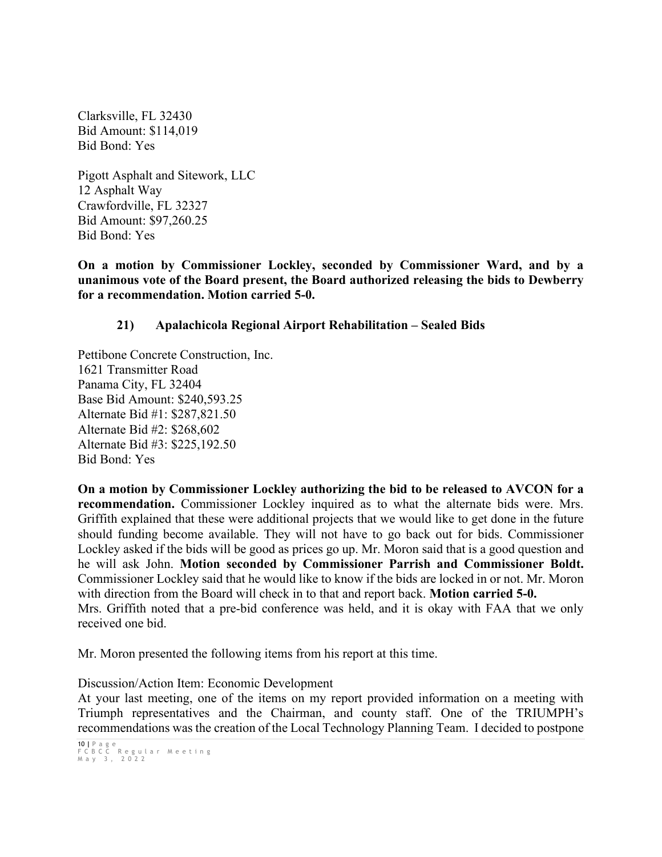Clarksville, FL 32430 Bid Amount: \$114,019 Bid Bond: Yes

Pigott Asphalt and Sitework, LLC 12 Asphalt Way Crawfordville, FL 32327 Bid Amount: \$97,260.25 Bid Bond: Yes

**On a motion by Commissioner Lockley, seconded by Commissioner Ward, and by a unanimous vote of the Board present, the Board authorized releasing the bids to Dewberry for a recommendation. Motion carried 5-0.**

## **21) Apalachicola Regional Airport Rehabilitation – Sealed Bids**

Pettibone Concrete Construction, Inc. 1621 Transmitter Road Panama City, FL 32404 Base Bid Amount: \$240,593.25 Alternate Bid #1: \$287,821.50 Alternate Bid #2: \$268,602 Alternate Bid #3: \$225,192.50 Bid Bond: Yes

**On a motion by Commissioner Lockley authorizing the bid to be released to AVCON for a recommendation.** Commissioner Lockley inquired as to what the alternate bids were. Mrs. Griffith explained that these were additional projects that we would like to get done in the future should funding become available. They will not have to go back out for bids. Commissioner Lockley asked if the bids will be good as prices go up. Mr. Moron said that is a good question and he will ask John. **Motion seconded by Commissioner Parrish and Commissioner Boldt.** Commissioner Lockley said that he would like to know if the bids are locked in or not. Mr. Moron with direction from the Board will check in to that and report back. **Motion carried 5-0.** Mrs. Griffith noted that a pre-bid conference was held, and it is okay with FAA that we only received one bid.

Mr. Moron presented the following items from his report at this time.

Discussion/Action Item: Economic Development

At your last meeting, one of the items on my report provided information on a meeting with Triumph representatives and the Chairman, and county staff. One of the TRIUMPH's recommendations was the creation of the Local Technology Planning Team. I decided to postpone

10 **|** Page FCBCC Regular Meeting May 3 , 2022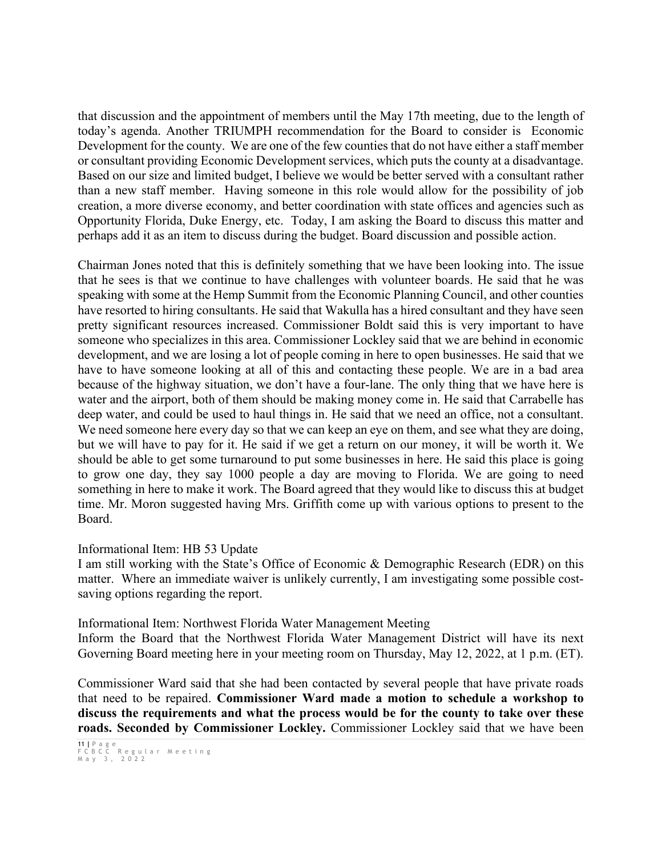that discussion and the appointment of members until the May 17th meeting, due to the length of today's agenda. Another TRIUMPH recommendation for the Board to consider is Economic Development for the county. We are one of the few counties that do not have either a staff member or consultant providing Economic Development services, which puts the county at a disadvantage. Based on our size and limited budget, I believe we would be better served with a consultant rather than a new staff member. Having someone in this role would allow for the possibility of job creation, a more diverse economy, and better coordination with state offices and agencies such as Opportunity Florida, Duke Energy, etc. Today, I am asking the Board to discuss this matter and perhaps add it as an item to discuss during the budget. Board discussion and possible action.

Chairman Jones noted that this is definitely something that we have been looking into. The issue that he sees is that we continue to have challenges with volunteer boards. He said that he was speaking with some at the Hemp Summit from the Economic Planning Council, and other counties have resorted to hiring consultants. He said that Wakulla has a hired consultant and they have seen pretty significant resources increased. Commissioner Boldt said this is very important to have someone who specializes in this area. Commissioner Lockley said that we are behind in economic development, and we are losing a lot of people coming in here to open businesses. He said that we have to have someone looking at all of this and contacting these people. We are in a bad area because of the highway situation, we don't have a four-lane. The only thing that we have here is water and the airport, both of them should be making money come in. He said that Carrabelle has deep water, and could be used to haul things in. He said that we need an office, not a consultant. We need someone here every day so that we can keep an eye on them, and see what they are doing, but we will have to pay for it. He said if we get a return on our money, it will be worth it. We should be able to get some turnaround to put some businesses in here. He said this place is going to grow one day, they say 1000 people a day are moving to Florida. We are going to need something in here to make it work. The Board agreed that they would like to discuss this at budget time. Mr. Moron suggested having Mrs. Griffith come up with various options to present to the Board.

#### Informational Item: HB 53 Update

I am still working with the State's Office of Economic & Demographic Research (EDR) on this matter. Where an immediate waiver is unlikely currently, I am investigating some possible costsaving options regarding the report.

Informational Item: Northwest Florida Water Management Meeting

Inform the Board that the Northwest Florida Water Management District will have its next Governing Board meeting here in your meeting room on Thursday, May 12, 2022, at 1 p.m. (ET).

Commissioner Ward said that she had been contacted by several people that have private roads that need to be repaired. **Commissioner Ward made a motion to schedule a workshop to discuss the requirements and what the process would be for the county to take over these roads. Seconded by Commissioner Lockley.** Commissioner Lockley said that we have been

<sup>11</sup> **|** Page FCBCC Regular Meeting May 3 , 2022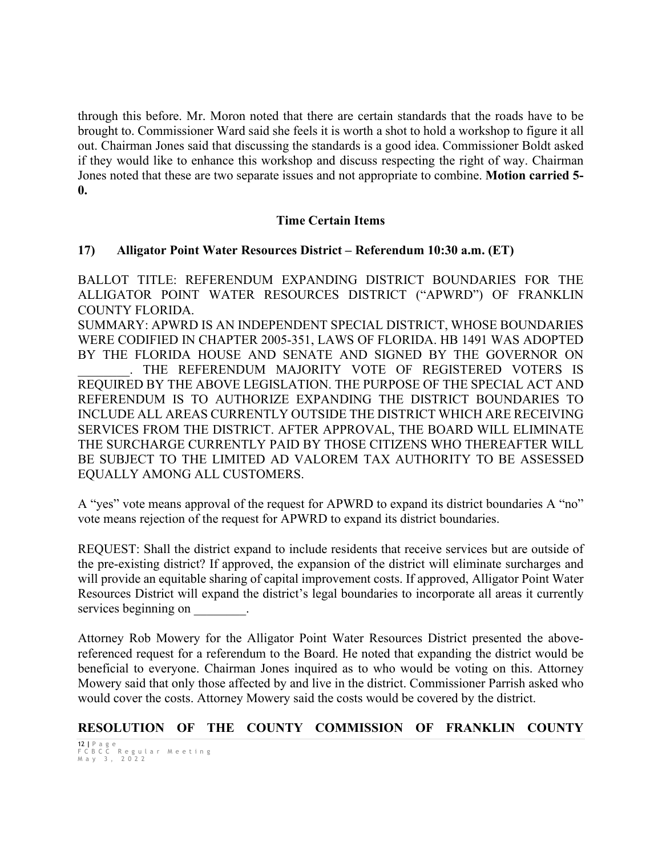through this before. Mr. Moron noted that there are certain standards that the roads have to be brought to. Commissioner Ward said she feels it is worth a shot to hold a workshop to figure it all out. Chairman Jones said that discussing the standards is a good idea. Commissioner Boldt asked if they would like to enhance this workshop and discuss respecting the right of way. Chairman Jones noted that these are two separate issues and not appropriate to combine. **Motion carried 5- 0.**

### **Time Certain Items**

#### **17) Alligator Point Water Resources District – Referendum 10:30 a.m. (ET)**

BALLOT TITLE: REFERENDUM EXPANDING DISTRICT BOUNDARIES FOR THE ALLIGATOR POINT WATER RESOURCES DISTRICT ("APWRD") OF FRANKLIN COUNTY FLORIDA.

SUMMARY: APWRD IS AN INDEPENDENT SPECIAL DISTRICT, WHOSE BOUNDARIES WERE CODIFIED IN CHAPTER 2005-351, LAWS OF FLORIDA. HB 1491 WAS ADOPTED BY THE FLORIDA HOUSE AND SENATE AND SIGNED BY THE GOVERNOR ON

. THE REFERENDUM MAJORITY VOTE OF REGISTERED VOTERS IS REQUIRED BY THE ABOVE LEGISLATION. THE PURPOSE OF THE SPECIAL ACT AND REFERENDUM IS TO AUTHORIZE EXPANDING THE DISTRICT BOUNDARIES TO INCLUDE ALL AREAS CURRENTLY OUTSIDE THE DISTRICT WHICH ARE RECEIVING SERVICES FROM THE DISTRICT. AFTER APPROVAL, THE BOARD WILL ELIMINATE THE SURCHARGE CURRENTLY PAID BY THOSE CITIZENS WHO THEREAFTER WILL BE SUBJECT TO THE LIMITED AD VALOREM TAX AUTHORITY TO BE ASSESSED EQUALLY AMONG ALL CUSTOMERS.

A "yes" vote means approval of the request for APWRD to expand its district boundaries A "no" vote means rejection of the request for APWRD to expand its district boundaries.

REQUEST: Shall the district expand to include residents that receive services but are outside of the pre-existing district? If approved, the expansion of the district will eliminate surcharges and will provide an equitable sharing of capital improvement costs. If approved, Alligator Point Water Resources District will expand the district's legal boundaries to incorporate all areas it currently services beginning on  $\blacksquare$ 

Attorney Rob Mowery for the Alligator Point Water Resources District presented the abovereferenced request for a referendum to the Board. He noted that expanding the district would be beneficial to everyone. Chairman Jones inquired as to who would be voting on this. Attorney Mowery said that only those affected by and live in the district. Commissioner Parrish asked who would cover the costs. Attorney Mowery said the costs would be covered by the district.

## **RESOLUTION OF THE COUNTY COMMISSION OF FRANKLIN COUNTY**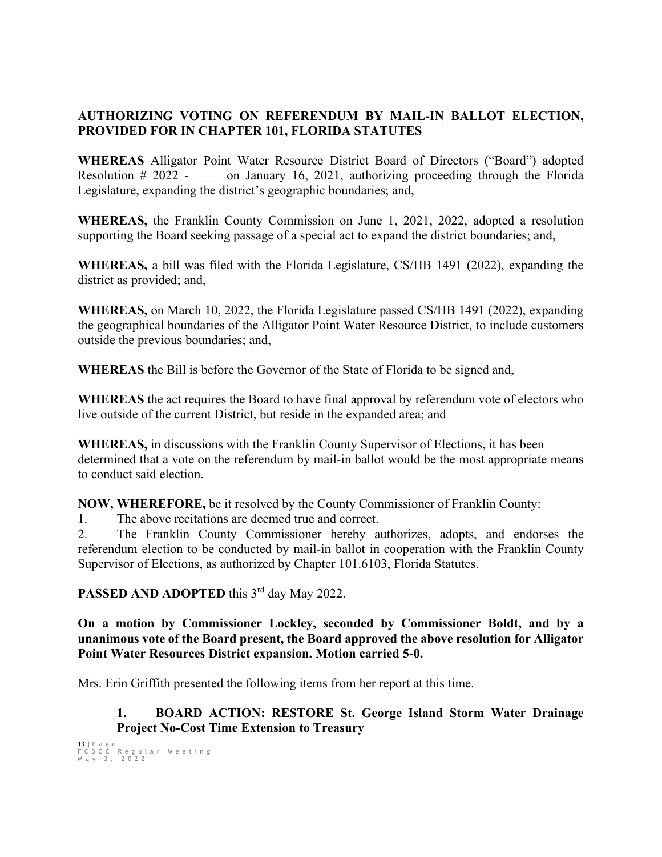## **AUTHORIZING VOTING ON REFERENDUM BY MAIL-IN BALLOT ELECTION, PROVIDED FOR IN CHAPTER 101, FLORIDA STATUTES**

**WHEREAS** Alligator Point Water Resource District Board of Directors ("Board") adopted Resolution # 2022 - on January 16, 2021, authorizing proceeding through the Florida Legislature, expanding the district's geographic boundaries; and,

**WHEREAS,** the Franklin County Commission on June 1, 2021, 2022, adopted a resolution supporting the Board seeking passage of a special act to expand the district boundaries; and,

**WHEREAS,** a bill was filed with the Florida Legislature, CS/HB 1491 (2022), expanding the district as provided; and,

**WHEREAS,** on March 10, 2022, the Florida Legislature passed CS/HB 1491 (2022), expanding the geographical boundaries of the Alligator Point Water Resource District, to include customers outside the previous boundaries; and,

**WHEREAS** the Bill is before the Governor of the State of Florida to be signed and,

**WHEREAS** the act requires the Board to have final approval by referendum vote of electors who live outside of the current District, but reside in the expanded area; and

**WHEREAS,** in discussions with the Franklin County Supervisor of Elections, it has been determined that a vote on the referendum by mail-in ballot would be the most appropriate means to conduct said election.

**NOW, WHEREFORE,** be it resolved by the County Commissioner of Franklin County:

1. The above recitations are deemed true and correct.

2. The Franklin County Commissioner hereby authorizes, adopts, and endorses the referendum election to be conducted by mail-in ballot in cooperation with the Franklin County Supervisor of Elections, as authorized by Chapter 101.6103, Florida Statutes.

PASSED AND ADOPTED this 3<sup>rd</sup> day May 2022.

**On a motion by Commissioner Lockley, seconded by Commissioner Boldt, and by a unanimous vote of the Board present, the Board approved the above resolution for Alligator Point Water Resources District expansion. Motion carried 5-0.**

Mrs. Erin Griffith presented the following items from her report at this time.

**1. BOARD ACTION: RESTORE St. George Island Storm Water Drainage Project No-Cost Time Extension to Treasury**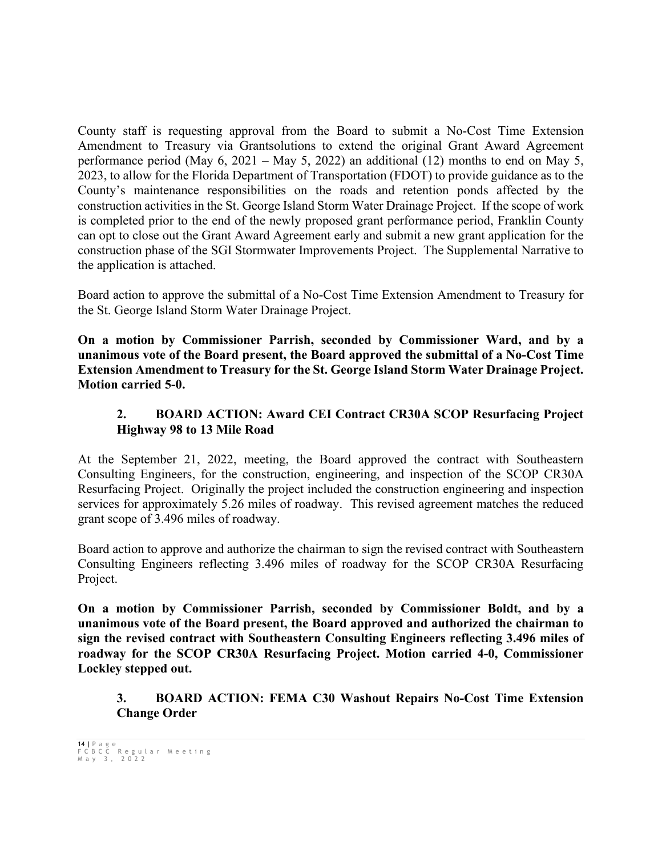County staff is requesting approval from the Board to submit a No-Cost Time Extension Amendment to Treasury via Grantsolutions to extend the original Grant Award Agreement performance period (May 6, 2021 – May 5, 2022) an additional (12) months to end on May 5, 2023, to allow for the Florida Department of Transportation (FDOT) to provide guidance as to the County's maintenance responsibilities on the roads and retention ponds affected by the construction activities in the St. George Island Storm Water Drainage Project. If the scope of work is completed prior to the end of the newly proposed grant performance period, Franklin County can opt to close out the Grant Award Agreement early and submit a new grant application for the construction phase of the SGI Stormwater Improvements Project. The Supplemental Narrative to the application is attached.

Board action to approve the submittal of a No-Cost Time Extension Amendment to Treasury for the St. George Island Storm Water Drainage Project.

**On a motion by Commissioner Parrish, seconded by Commissioner Ward, and by a unanimous vote of the Board present, the Board approved the submittal of a No-Cost Time Extension Amendment to Treasury for the St. George Island Storm Water Drainage Project. Motion carried 5-0.**

## **2. BOARD ACTION: Award CEI Contract CR30A SCOP Resurfacing Project Highway 98 to 13 Mile Road**

At the September 21, 2022, meeting, the Board approved the contract with Southeastern Consulting Engineers, for the construction, engineering, and inspection of the SCOP CR30A Resurfacing Project. Originally the project included the construction engineering and inspection services for approximately 5.26 miles of roadway. This revised agreement matches the reduced grant scope of 3.496 miles of roadway.

Board action to approve and authorize the chairman to sign the revised contract with Southeastern Consulting Engineers reflecting 3.496 miles of roadway for the SCOP CR30A Resurfacing Project.

**On a motion by Commissioner Parrish, seconded by Commissioner Boldt, and by a unanimous vote of the Board present, the Board approved and authorized the chairman to sign the revised contract with Southeastern Consulting Engineers reflecting 3.496 miles of roadway for the SCOP CR30A Resurfacing Project. Motion carried 4-0, Commissioner Lockley stepped out.** 

**3. BOARD ACTION: FEMA C30 Washout Repairs No-Cost Time Extension Change Order**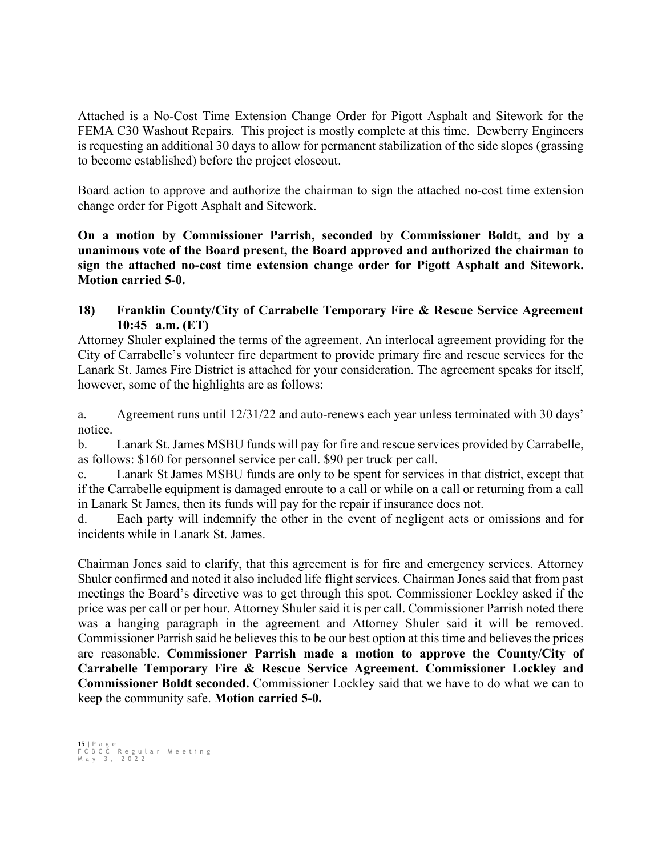Attached is a No-Cost Time Extension Change Order for Pigott Asphalt and Sitework for the FEMA C30 Washout Repairs. This project is mostly complete at this time. Dewberry Engineers is requesting an additional 30 days to allow for permanent stabilization of the side slopes (grassing to become established) before the project closeout.

Board action to approve and authorize the chairman to sign the attached no-cost time extension change order for Pigott Asphalt and Sitework.

**On a motion by Commissioner Parrish, seconded by Commissioner Boldt, and by a unanimous vote of the Board present, the Board approved and authorized the chairman to sign the attached no-cost time extension change order for Pigott Asphalt and Sitework. Motion carried 5-0.**

## **18) Franklin County/City of Carrabelle Temporary Fire & Rescue Service Agreement 10:45 a.m. (ET)**

Attorney Shuler explained the terms of the agreement. An interlocal agreement providing for the City of Carrabelle's volunteer fire department to provide primary fire and rescue services for the Lanark St. James Fire District is attached for your consideration. The agreement speaks for itself, however, some of the highlights are as follows:

a. Agreement runs until 12/31/22 and auto-renews each year unless terminated with 30 days' notice.

b. Lanark St. James MSBU funds will pay for fire and rescue services provided by Carrabelle, as follows: \$160 for personnel service per call. \$90 per truck per call.

c. Lanark St James MSBU funds are only to be spent for services in that district, except that if the Carrabelle equipment is damaged enroute to a call or while on a call or returning from a call in Lanark St James, then its funds will pay for the repair if insurance does not.

d. Each party will indemnify the other in the event of negligent acts or omissions and for incidents while in Lanark St. James.

Chairman Jones said to clarify, that this agreement is for fire and emergency services. Attorney Shuler confirmed and noted it also included life flight services. Chairman Jones said that from past meetings the Board's directive was to get through this spot. Commissioner Lockley asked if the price was per call or per hour. Attorney Shuler said it is per call. Commissioner Parrish noted there was a hanging paragraph in the agreement and Attorney Shuler said it will be removed. Commissioner Parrish said he believes this to be our best option at this time and believes the prices are reasonable. **Commissioner Parrish made a motion to approve the County/City of Carrabelle Temporary Fire & Rescue Service Agreement. Commissioner Lockley and Commissioner Boldt seconded.** Commissioner Lockley said that we have to do what we can to keep the community safe. **Motion carried 5-0.**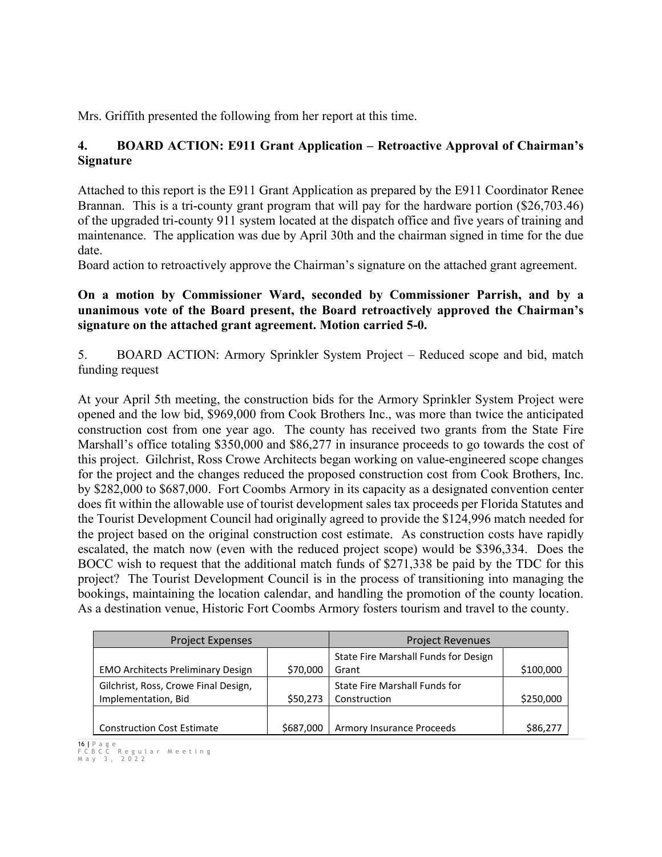Mrs. Griffith presented the following from her report at this time.

## **4. BOARD ACTION: E911 Grant Application – Retroactive Approval of Chairman's Signature**

Attached to this report is the E911 Grant Application as prepared by the E911 Coordinator Renee Brannan. This is a tri-county grant program that will pay for the hardware portion (\$26,703.46) of the upgraded tri-county 911 system located at the dispatch office and five years of training and maintenance. The application was due by April 30th and the chairman signed in time for the due date.

Board action to retroactively approve the Chairman's signature on the attached grant agreement.

## **On a motion by Commissioner Ward, seconded by Commissioner Parrish, and by a unanimous vote of the Board present, the Board retroactively approved the Chairman's signature on the attached grant agreement. Motion carried 5-0.**

5. BOARD ACTION: Armory Sprinkler System Project – Reduced scope and bid, match funding request

At your April 5th meeting, the construction bids for the Armory Sprinkler System Project were opened and the low bid, \$969,000 from Cook Brothers Inc., was more than twice the anticipated construction cost from one year ago. The county has received two grants from the State Fire Marshall's office totaling \$350,000 and \$86,277 in insurance proceeds to go towards the cost of this project. Gilchrist, Ross Crowe Architects began working on value-engineered scope changes for the project and the changes reduced the proposed construction cost from Cook Brothers, Inc. by \$282,000 to \$687,000. Fort Coombs Armory in its capacity as a designated convention center does fit within the allowable use of tourist development sales tax proceeds per Florida Statutes and the Tourist Development Council had originally agreed to provide the \$124,996 match needed for the project based on the original construction cost estimate. As construction costs have rapidly escalated, the match now (even with the reduced project scope) would be \$396,334. Does the BOCC wish to request that the additional match funds of \$271,338 be paid by the TDC for this project? The Tourist Development Council is in the process of transitioning into managing the bookings, maintaining the location calendar, and handling the promotion of the county location. As a destination venue, Historic Fort Coombs Armory fosters tourism and travel to the county.

| Project Expenses                                            |           | <b>Project Revenues</b>                              |           |
|-------------------------------------------------------------|-----------|------------------------------------------------------|-----------|
| <b>EMO Architects Preliminary Design</b>                    | \$70,000  | State Fire Marshall Funds for Design<br>Grant        | \$100,000 |
| Gilchrist, Ross, Crowe Final Design,<br>Implementation, Bid | \$50,273  | <b>State Fire Marshall Funds for</b><br>Construction | \$250,000 |
| <b>Construction Cost Estimate</b>                           | \$687,000 | <b>Armory Insurance Proceeds</b>                     | \$86,277  |

<sup>16</sup> **|** Page FCBCC Regular Meeting May 3 , 2022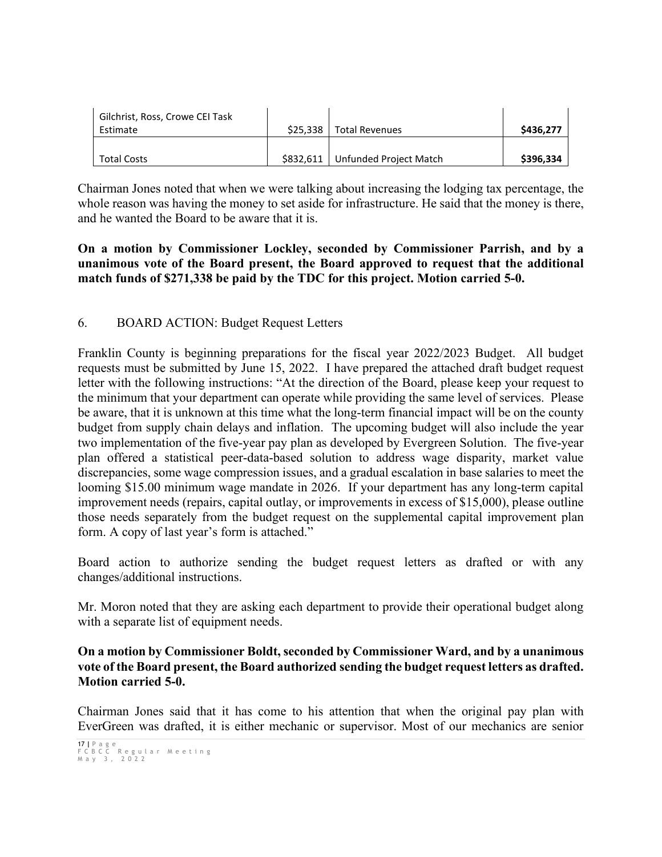| Gilchrist, Ross, Crowe CEI Task |          |                        |           |
|---------------------------------|----------|------------------------|-----------|
| Estimate                        | \$25.338 | <b>Total Revenues</b>  | \$436,277 |
|                                 |          |                        |           |
| <b>Total Costs</b>              | S832.611 | Unfunded Project Match | \$396,334 |

Chairman Jones noted that when we were talking about increasing the lodging tax percentage, the whole reason was having the money to set aside for infrastructure. He said that the money is there, and he wanted the Board to be aware that it is.

## **On a motion by Commissioner Lockley, seconded by Commissioner Parrish, and by a unanimous vote of the Board present, the Board approved to request that the additional match funds of \$271,338 be paid by the TDC for this project. Motion carried 5-0.**

## 6. BOARD ACTION: Budget Request Letters

Franklin County is beginning preparations for the fiscal year 2022/2023 Budget. All budget requests must be submitted by June 15, 2022. I have prepared the attached draft budget request letter with the following instructions: "At the direction of the Board, please keep your request to the minimum that your department can operate while providing the same level of services. Please be aware, that it is unknown at this time what the long-term financial impact will be on the county budget from supply chain delays and inflation. The upcoming budget will also include the year two implementation of the five-year pay plan as developed by Evergreen Solution. The five-year plan offered a statistical peer-data-based solution to address wage disparity, market value discrepancies, some wage compression issues, and a gradual escalation in base salaries to meet the looming \$15.00 minimum wage mandate in 2026. If your department has any long-term capital improvement needs (repairs, capital outlay, or improvements in excess of \$15,000), please outline those needs separately from the budget request on the supplemental capital improvement plan form. A copy of last year's form is attached."

Board action to authorize sending the budget request letters as drafted or with any changes/additional instructions.

Mr. Moron noted that they are asking each department to provide their operational budget along with a separate list of equipment needs.

### **On a motion by Commissioner Boldt, seconded by Commissioner Ward, and by a unanimous vote of the Board present, the Board authorized sending the budget request letters as drafted. Motion carried 5-0.**

Chairman Jones said that it has come to his attention that when the original pay plan with EverGreen was drafted, it is either mechanic or supervisor. Most of our mechanics are senior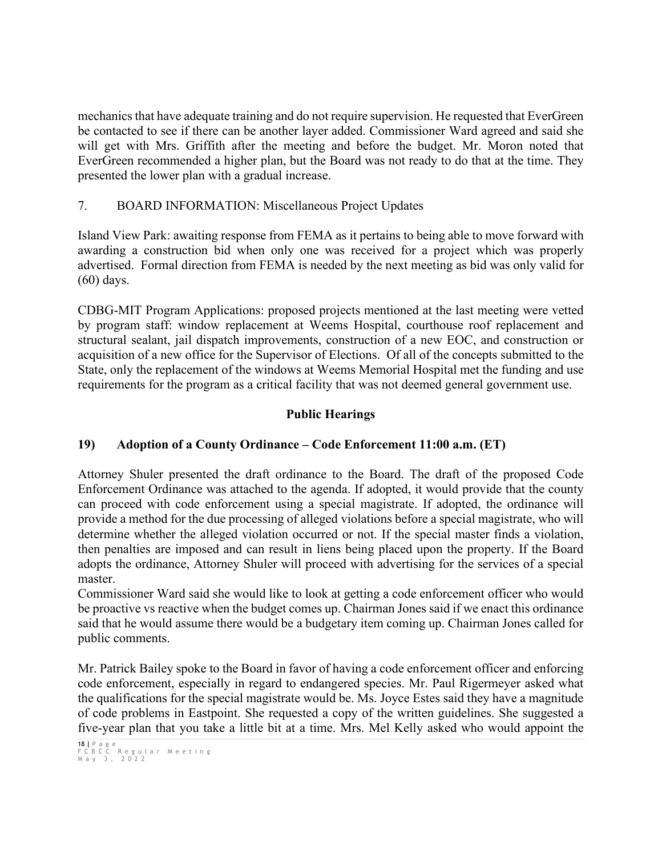mechanics that have adequate training and do not require supervision. He requested that EverGreen be contacted to see if there can be another layer added. Commissioner Ward agreed and said she will get with Mrs. Griffith after the meeting and before the budget. Mr. Moron noted that EverGreen recommended a higher plan, but the Board was not ready to do that at the time. They presented the lower plan with a gradual increase.

## 7. BOARD INFORMATION: Miscellaneous Project Updates

Island View Park: awaiting response from FEMA as it pertains to being able to move forward with awarding a construction bid when only one was received for a project which was properly advertised. Formal direction from FEMA is needed by the next meeting as bid was only valid for (60) days.

CDBG-MIT Program Applications: proposed projects mentioned at the last meeting were vetted by program staff: window replacement at Weems Hospital, courthouse roof replacement and structural sealant, jail dispatch improvements, construction of a new EOC, and construction or acquisition of a new office for the Supervisor of Elections. Of all of the concepts submitted to the State, only the replacement of the windows at Weems Memorial Hospital met the funding and use requirements for the program as a critical facility that was not deemed general government use.

# **Public Hearings**

# **19) Adoption of a County Ordinance – Code Enforcement 11:00 a.m. (ET)**

Attorney Shuler presented the draft ordinance to the Board. The draft of the proposed Code Enforcement Ordinance was attached to the agenda. If adopted, it would provide that the county can proceed with code enforcement using a special magistrate. If adopted, the ordinance will provide a method for the due processing of alleged violations before a special magistrate, who will determine whether the alleged violation occurred or not. If the special master finds a violation, then penalties are imposed and can result in liens being placed upon the property. If the Board adopts the ordinance, Attorney Shuler will proceed with advertising for the services of a special master.

Commissioner Ward said she would like to look at getting a code enforcement officer who would be proactive vs reactive when the budget comes up. Chairman Jones said if we enact this ordinance said that he would assume there would be a budgetary item coming up. Chairman Jones called for public comments.

Mr. Patrick Bailey spoke to the Board in favor of having a code enforcement officer and enforcing code enforcement, especially in regard to endangered species. Mr. Paul Rigermeyer asked what the qualifications for the special magistrate would be. Ms. Joyce Estes said they have a magnitude of code problems in Eastpoint. She requested a copy of the written guidelines. She suggested a five-year plan that you take a little bit at a time. Mrs. Mel Kelly asked who would appoint the

<sup>18</sup> **|** Page FCBCC Regular Meeting May 3 , 2022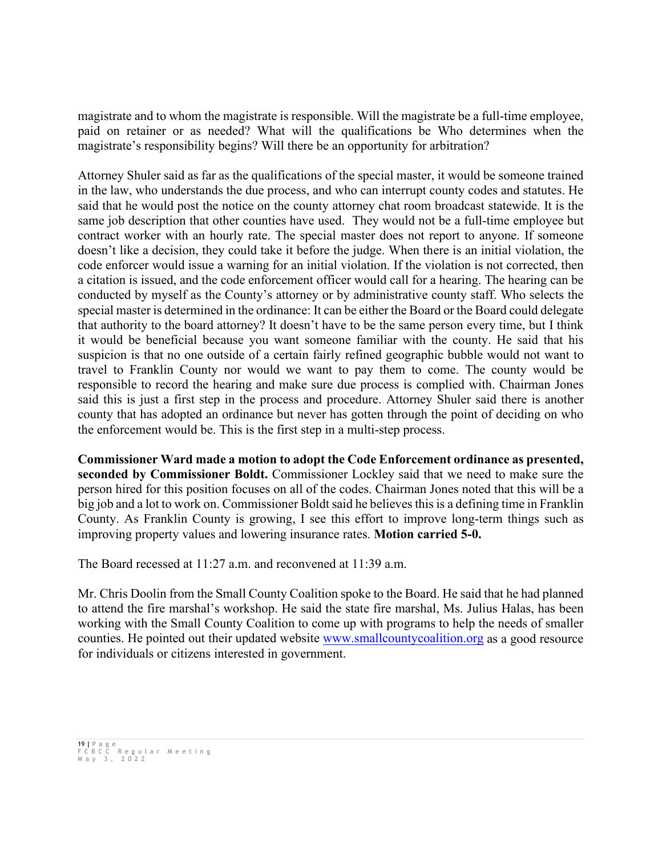magistrate and to whom the magistrate is responsible. Will the magistrate be a full-time employee, paid on retainer or as needed? What will the qualifications be Who determines when the magistrate's responsibility begins? Will there be an opportunity for arbitration?

Attorney Shuler said as far as the qualifications of the special master, it would be someone trained in the law, who understands the due process, and who can interrupt county codes and statutes. He said that he would post the notice on the county attorney chat room broadcast statewide. It is the same job description that other counties have used. They would not be a full-time employee but contract worker with an hourly rate. The special master does not report to anyone. If someone doesn't like a decision, they could take it before the judge. When there is an initial violation, the code enforcer would issue a warning for an initial violation. If the violation is not corrected, then a citation is issued, and the code enforcement officer would call for a hearing. The hearing can be conducted by myself as the County's attorney or by administrative county staff. Who selects the special master is determined in the ordinance: It can be either the Board or the Board could delegate that authority to the board attorney? It doesn't have to be the same person every time, but I think it would be beneficial because you want someone familiar with the county. He said that his suspicion is that no one outside of a certain fairly refined geographic bubble would not want to travel to Franklin County nor would we want to pay them to come. The county would be responsible to record the hearing and make sure due process is complied with. Chairman Jones said this is just a first step in the process and procedure. Attorney Shuler said there is another county that has adopted an ordinance but never has gotten through the point of deciding on who the enforcement would be. This is the first step in a multi-step process.

**Commissioner Ward made a motion to adopt the Code Enforcement ordinance as presented, seconded by Commissioner Boldt.** Commissioner Lockley said that we need to make sure the person hired for this position focuses on all of the codes. Chairman Jones noted that this will be a big job and a lot to work on. Commissioner Boldt said he believes this is a defining time in Franklin County. As Franklin County is growing, I see this effort to improve long-term things such as improving property values and lowering insurance rates. **Motion carried 5-0.**

The Board recessed at 11:27 a.m. and reconvened at 11:39 a.m.

Mr. Chris Doolin from the Small County Coalition spoke to the Board. He said that he had planned to attend the fire marshal's workshop. He said the state fire marshal, Ms. Julius Halas, has been working with the Small County Coalition to come up with programs to help the needs of smaller counties. He pointed out their updated website [www.smallcountycoalition.org](http://www.smallcountycoalition.org/) as a good resource for individuals or citizens interested in government.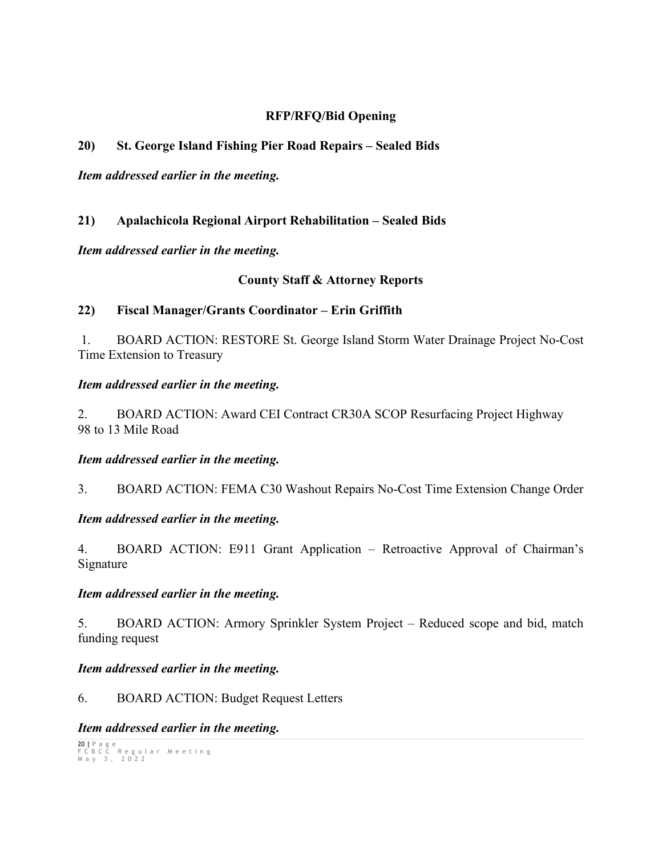## **RFP/RFQ/Bid Opening**

## **20) St. George Island Fishing Pier Road Repairs – Sealed Bids**

*Item addressed earlier in the meeting.*

## **21) Apalachicola Regional Airport Rehabilitation – Sealed Bids**

*Item addressed earlier in the meeting.* 

## **County Staff & Attorney Reports**

### **22) Fiscal Manager/Grants Coordinator – Erin Griffith**

1. BOARD ACTION: RESTORE St. George Island Storm Water Drainage Project No-Cost Time Extension to Treasury

#### *Item addressed earlier in the meeting.*

2. BOARD ACTION: Award CEI Contract CR30A SCOP Resurfacing Project Highway 98 to 13 Mile Road

#### *Item addressed earlier in the meeting.*

3. BOARD ACTION: FEMA C30 Washout Repairs No-Cost Time Extension Change Order

#### *Item addressed earlier in the meeting.*

4. BOARD ACTION: E911 Grant Application – Retroactive Approval of Chairman's Signature

#### *Item addressed earlier in the meeting.*

5. BOARD ACTION: Armory Sprinkler System Project – Reduced scope and bid, match funding request

#### *Item addressed earlier in the meeting.*

6. BOARD ACTION: Budget Request Letters

#### *Item addressed earlier in the meeting.*

```
20 | Page
FCBCC Regular Meeting
May 3 , 2022
```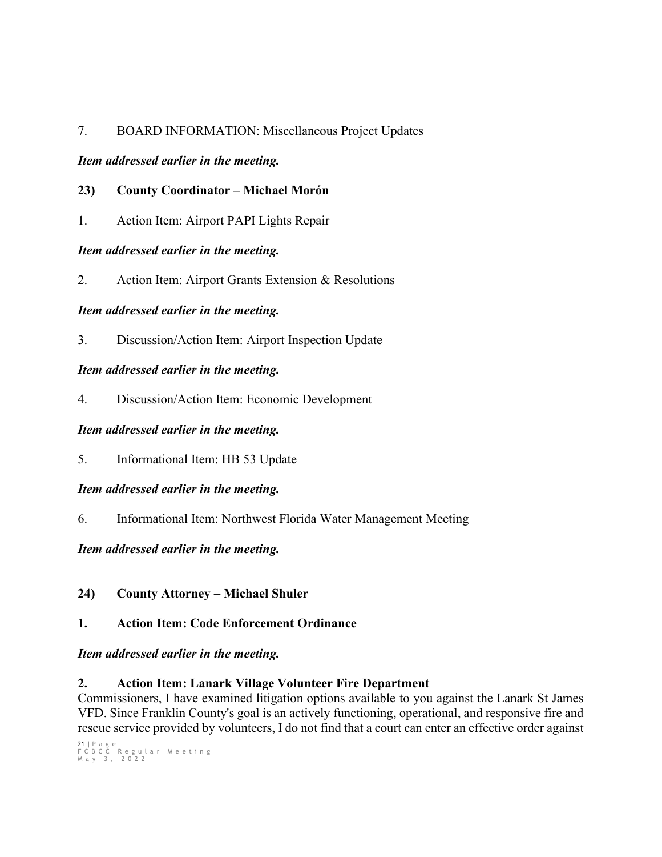## 7. BOARD INFORMATION: Miscellaneous Project Updates

## *Item addressed earlier in the meeting.*

## **23) County Coordinator – Michael Morón**

1. Action Item: Airport PAPI Lights Repair

## *Item addressed earlier in the meeting.*

2. Action Item: Airport Grants Extension & Resolutions

## *Item addressed earlier in the meeting.*

3. Discussion/Action Item: Airport Inspection Update

# *Item addressed earlier in the meeting.*

4. Discussion/Action Item: Economic Development

## *Item addressed earlier in the meeting.*

5. Informational Item: HB 53 Update

## *Item addressed earlier in the meeting.*

6. Informational Item: Northwest Florida Water Management Meeting

## *Item addressed earlier in the meeting.*

**24) County Attorney – Michael Shuler**

# **1. Action Item: Code Enforcement Ordinance**

## *Item addressed earlier in the meeting.*

# **2. Action Item: Lanark Village Volunteer Fire Department**

Commissioners, I have examined litigation options available to you against the Lanark St James VFD. Since Franklin County's goal is an actively functioning, operational, and responsive fire and rescue service provided by volunteers, I do not find that a court can enter an effective order against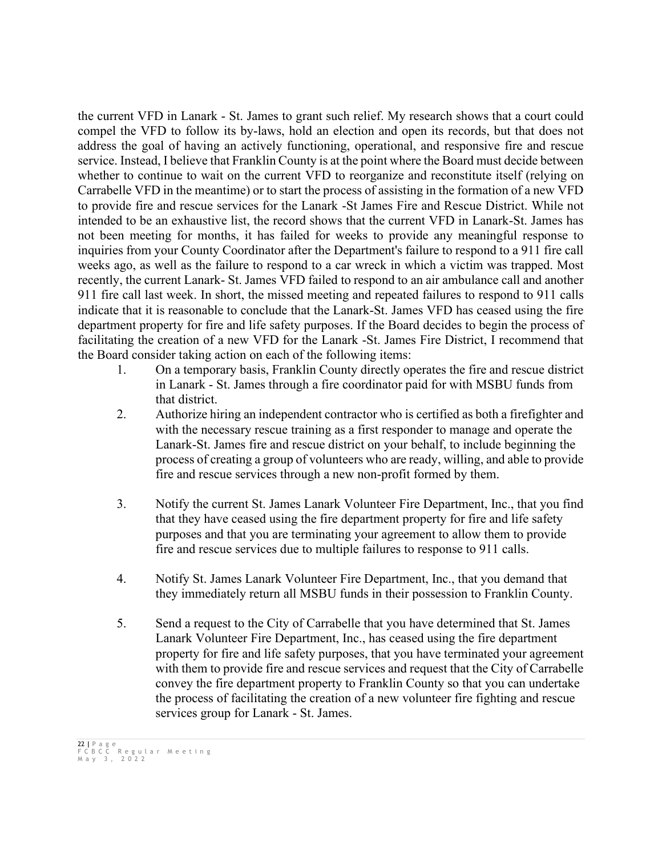the current VFD in Lanark - St. James to grant such relief. My research shows that a court could compel the VFD to follow its by-laws, hold an election and open its records, but that does not address the goal of having an actively functioning, operational, and responsive fire and rescue service. Instead, I believe that Franklin County is at the point where the Board must decide between whether to continue to wait on the current VFD to reorganize and reconstitute itself (relying on Carrabelle VFD in the meantime) or to start the process of assisting in the formation of a new VFD to provide fire and rescue services for the Lanark -St James Fire and Rescue District. While not intended to be an exhaustive list, the record shows that the current VFD in Lanark-St. James has not been meeting for months, it has failed for weeks to provide any meaningful response to inquiries from your County Coordinator after the Department's failure to respond to a 911 fire call weeks ago, as well as the failure to respond to a car wreck in which a victim was trapped. Most recently, the current Lanark- St. James VFD failed to respond to an air ambulance call and another 911 fire call last week. In short, the missed meeting and repeated failures to respond to 911 calls indicate that it is reasonable to conclude that the Lanark-St. James VFD has ceased using the fire department property for fire and life safety purposes. If the Board decides to begin the process of facilitating the creation of a new VFD for the Lanark -St. James Fire District, I recommend that the Board consider taking action on each of the following items:

- 1. On a temporary basis, Franklin County directly operates the fire and rescue district in Lanark - St. James through a fire coordinator paid for with MSBU funds from that district.
- 2. Authorize hiring an independent contractor who is certified as both a firefighter and with the necessary rescue training as a first responder to manage and operate the Lanark-St. James fire and rescue district on your behalf, to include beginning the process of creating a group of volunteers who are ready, willing, and able to provide fire and rescue services through a new non-profit formed by them.
- 3. Notify the current St. James Lanark Volunteer Fire Department, Inc., that you find that they have ceased using the fire department property for fire and life safety purposes and that you are terminating your agreement to allow them to provide fire and rescue services due to multiple failures to response to 911 calls.
- 4. Notify St. James Lanark Volunteer Fire Department, Inc., that you demand that they immediately return all MSBU funds in their possession to Franklin County.
- 5. Send a request to the City of Carrabelle that you have determined that St. James Lanark Volunteer Fire Department, Inc., has ceased using the fire department property for fire and life safety purposes, that you have terminated your agreement with them to provide fire and rescue services and request that the City of Carrabelle convey the fire department property to Franklin County so that you can undertake the process of facilitating the creation of a new volunteer fire fighting and rescue services group for Lanark - St. James.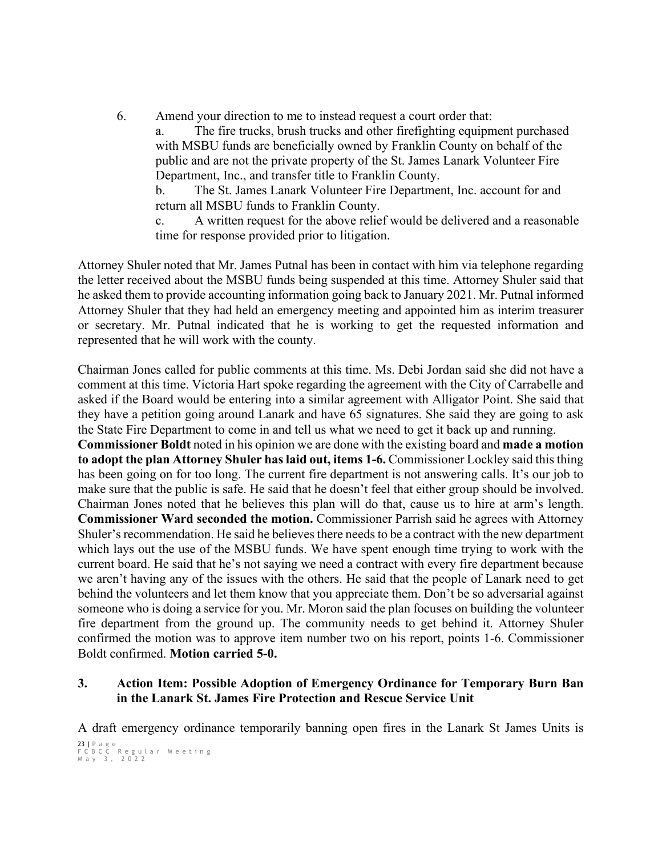6. Amend your direction to me to instead request a court order that:

a. The fire trucks, brush trucks and other firefighting equipment purchased with MSBU funds are beneficially owned by Franklin County on behalf of the public and are not the private property of the St. James Lanark Volunteer Fire Department, Inc., and transfer title to Franklin County.

b. The St. James Lanark Volunteer Fire Department, Inc. account for and return all MSBU funds to Franklin County.

c. A written request for the above relief would be delivered and a reasonable time for response provided prior to litigation.

Attorney Shuler noted that Mr. James Putnal has been in contact with him via telephone regarding the letter received about the MSBU funds being suspended at this time. Attorney Shuler said that he asked them to provide accounting information going back to January 2021. Mr. Putnal informed Attorney Shuler that they had held an emergency meeting and appointed him as interim treasurer or secretary. Mr. Putnal indicated that he is working to get the requested information and represented that he will work with the county.

Chairman Jones called for public comments at this time. Ms. Debi Jordan said she did not have a comment at this time. Victoria Hart spoke regarding the agreement with the City of Carrabelle and asked if the Board would be entering into a similar agreement with Alligator Point. She said that they have a petition going around Lanark and have 65 signatures. She said they are going to ask the State Fire Department to come in and tell us what we need to get it back up and running.

**Commissioner Boldt** noted in his opinion we are done with the existing board and **made a motion to adopt the plan Attorney Shuler has laid out, items 1-6.** Commissioner Lockley said this thing has been going on for too long. The current fire department is not answering calls. It's our job to make sure that the public is safe. He said that he doesn't feel that either group should be involved. Chairman Jones noted that he believes this plan will do that, cause us to hire at arm's length. **Commissioner Ward seconded the motion.** Commissioner Parrish said he agrees with Attorney Shuler's recommendation. He said he believes there needs to be a contract with the new department which lays out the use of the MSBU funds. We have spent enough time trying to work with the current board. He said that he's not saying we need a contract with every fire department because we aren't having any of the issues with the others. He said that the people of Lanark need to get behind the volunteers and let them know that you appreciate them. Don't be so adversarial against someone who is doing a service for you. Mr. Moron said the plan focuses on building the volunteer fire department from the ground up. The community needs to get behind it. Attorney Shuler confirmed the motion was to approve item number two on his report, points 1-6. Commissioner Boldt confirmed. **Motion carried 5-0.**

## **3. Action Item: Possible Adoption of Emergency Ordinance for Temporary Burn Ban in the Lanark St. James Fire Protection and Rescue Service Unit**

A draft emergency ordinance temporarily banning open fires in the Lanark St James Units is

<sup>23</sup> **|** Page FCBCC Regular Meeting May 3 , 2022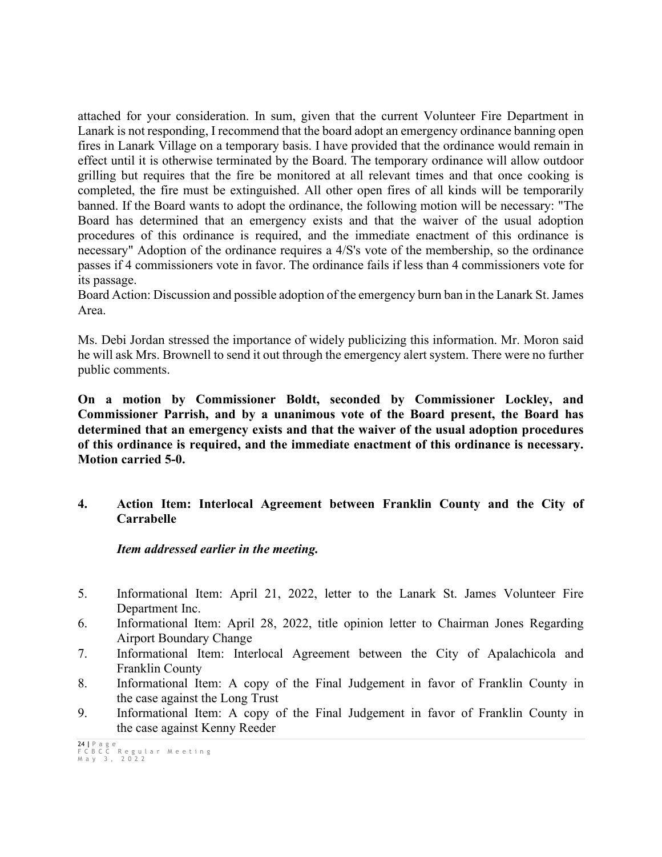attached for your consideration. In sum, given that the current Volunteer Fire Department in Lanark is not responding, I recommend that the board adopt an emergency ordinance banning open fires in Lanark Village on a temporary basis. I have provided that the ordinance would remain in effect until it is otherwise terminated by the Board. The temporary ordinance will allow outdoor grilling but requires that the fire be monitored at all relevant times and that once cooking is completed, the fire must be extinguished. All other open fires of all kinds will be temporarily banned. If the Board wants to adopt the ordinance, the following motion will be necessary: "The Board has determined that an emergency exists and that the waiver of the usual adoption procedures of this ordinance is required, and the immediate enactment of this ordinance is necessary" Adoption of the ordinance requires a 4/S's vote of the membership, so the ordinance passes if 4 commissioners vote in favor. The ordinance fails if less than 4 commissioners vote for its passage.

Board Action: Discussion and possible adoption of the emergency burn ban in the Lanark St. James Area.

Ms. Debi Jordan stressed the importance of widely publicizing this information. Mr. Moron said he will ask Mrs. Brownell to send it out through the emergency alert system. There were no further public comments.

**On a motion by Commissioner Boldt, seconded by Commissioner Lockley, and Commissioner Parrish, and by a unanimous vote of the Board present, the Board has determined that an emergency exists and that the waiver of the usual adoption procedures of this ordinance is required, and the immediate enactment of this ordinance is necessary. Motion carried 5-0.**

## **4. Action Item: Interlocal Agreement between Franklin County and the City of Carrabelle**

*Item addressed earlier in the meeting.* 

- 5. Informational Item: April 21, 2022, letter to the Lanark St. James Volunteer Fire Department Inc.
- 6. Informational Item: April 28, 2022, title opinion letter to Chairman Jones Regarding Airport Boundary Change
- 7. Informational Item: Interlocal Agreement between the City of Apalachicola and Franklin County
- 8. Informational Item: A copy of the Final Judgement in favor of Franklin County in the case against the Long Trust
- 9. Informational Item: A copy of the Final Judgement in favor of Franklin County in the case against Kenny Reeder

<sup>24</sup> **|** Page FCBCC Regular Meeting May 3 , 2022